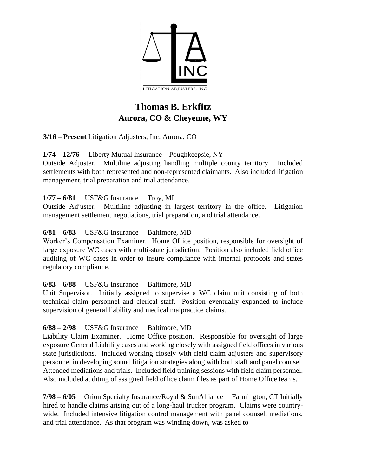

# **Thomas B. Erkfitz Aurora, CO & Cheyenne, WY**

**3/16 – Present** Litigation Adjusters, Inc. Aurora, CO

**1/74 – 12/76** Liberty Mutual Insurance Poughkeepsie, NY

Outside Adjuster. Multiline adjusting handling multiple county territory. Included settlements with both represented and non-represented claimants. Also included litigation management, trial preparation and trial attendance.

**1/77 – 6/81** USF&G Insurance Troy, MI

Outside Adjuster. Multiline adjusting in largest territory in the office. Litigation management settlement negotiations, trial preparation, and trial attendance.

## **6/81 – 6/83** USF&G Insurance Baltimore, MD

Worker's Compensation Examiner. Home Office position, responsible for oversight of large exposure WC cases with multi-state jurisdiction. Position also included field office auditing of WC cases in order to insure compliance with internal protocols and states regulatory compliance.

## **6/83 – 6/88** USF&G Insurance Baltimore, MD

Unit Supervisor. Initially assigned to supervise a WC claim unit consisting of both technical claim personnel and clerical staff. Position eventually expanded to include supervision of general liability and medical malpractice claims.

## **6/88 – 2/98** USF&G Insurance Baltimore, MD

Liability Claim Examiner. Home Office position. Responsible for oversight of large exposure General Liability cases and working closely with assigned field offices in various state jurisdictions. Included working closely with field claim adjusters and supervisory personnel in developing sound litigation strategies along with both staff and panel counsel. Attended mediations and trials. Included field training sessions with field claim personnel. Also included auditing of assigned field office claim files as part of Home Office teams.

**7/98 – 6/05** Orion Specialty Insurance/Royal & SunAlliance Farmington, CT Initially hired to handle claims arising out of a long-haul trucker program. Claims were countrywide. Included intensive litigation control management with panel counsel, mediations, and trial attendance. As that program was winding down, was asked to